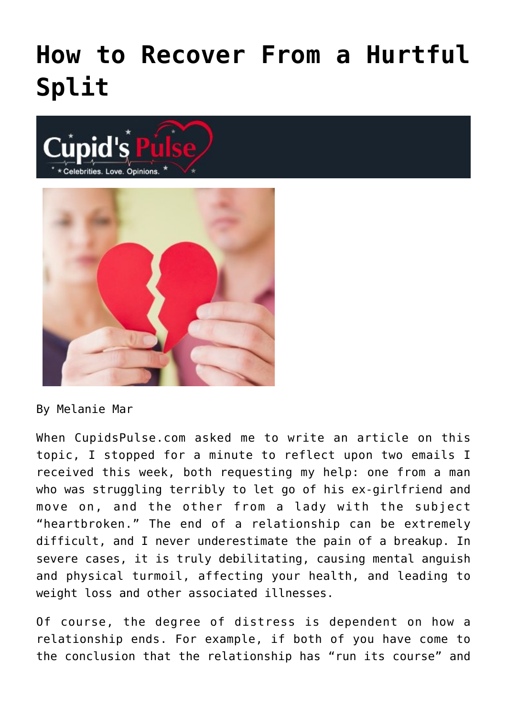## **[How to Recover From a Hurtful](https://cupidspulse.com/75367/how-to-recover-from-a-hurtful-split/) [Split](https://cupidspulse.com/75367/how-to-recover-from-a-hurtful-split/)**





By Melanie Mar

When CupidsPulse.com asked me to write an article on this topic, I stopped for a minute to reflect upon two emails I received this week, both requesting my help: one from a man who was struggling terribly to let go of his ex-girlfriend and move on, and the other from a lady with the subject "heartbroken." The end of a relationship can be extremely difficult, and I never underestimate the pain of a breakup. In severe cases, it is truly debilitating, causing mental anguish and physical turmoil, affecting your health, and leading to weight loss and other associated illnesses.

Of course, the degree of distress is dependent on how a relationship ends. For example, if both of you have come to the conclusion that the relationship has "run its course" and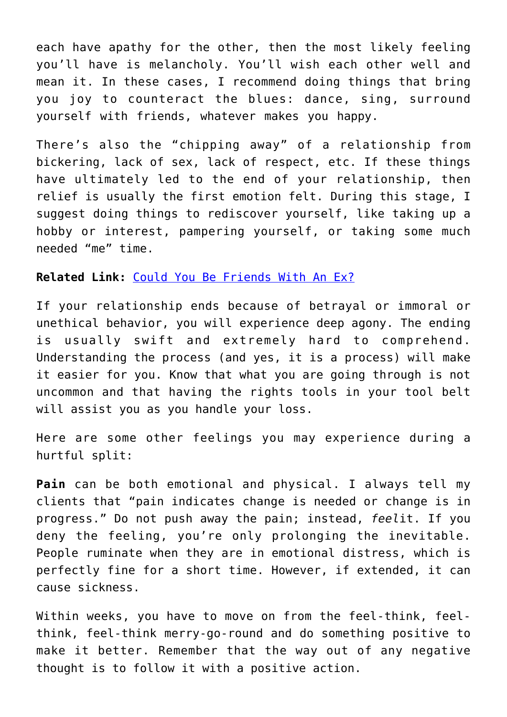each have apathy for the other, then the most likely feeling you'll have is melancholy. You'll wish each other well and mean it. In these cases, I recommend doing things that bring you joy to counteract the blues: dance, sing, surround yourself with friends, whatever makes you happy.

There's also the "chipping away" of a relationship from bickering, lack of sex, lack of respect, etc. If these things have ultimately led to the end of your relationship, then relief is usually the first emotion felt. During this stage, I suggest doing things to rediscover yourself, like taking up a hobby or interest, pampering yourself, or taking some much needed "me" time.

## **Related Link:** [Could You Be Friends With An Ex?](http://cupidspulse.com/43835/melanie-mar-friendship-with-an-ex/)

If your relationship ends because of betrayal or immoral or unethical behavior, you will experience deep agony. The ending is usually swift and extremely hard to comprehend. Understanding the process (and yes, it is a process) will make it easier for you. Know that what you are going through is not uncommon and that having the rights tools in your tool belt will assist you as you handle your loss.

Here are some other feelings you may experience during a hurtful split:

**Pain** can be both emotional and physical. I always tell my clients that "pain indicates change is needed or change is in progress." Do not push away the pain; instead, *feel*it. If you deny the feeling, you're only prolonging the inevitable. People ruminate when they are in emotional distress, which is perfectly fine for a short time. However, if extended, it can cause sickness.

Within weeks, you have to move on from the feel-think, feelthink, feel-think merry-go-round and do something positive to make it better. Remember that the way out of any negative thought is to follow it with a positive action.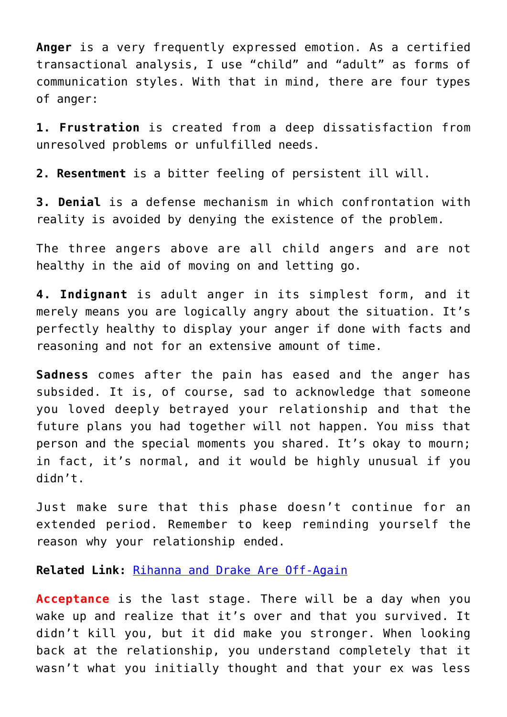**Anger** is a very frequently expressed emotion. As a certified transactional analysis, I use "child" and "adult" as forms of communication styles. With that in mind, there are four types of anger:

**1. Frustration** is created from a deep dissatisfaction from unresolved problems or unfulfilled needs.

**2. Resentment** is a bitter feeling of persistent ill will.

**3. Denial** is a defense mechanism in which confrontation with reality is avoided by denying the existence of the problem.

The three angers above are all child angers and are not healthy in the aid of moving on and letting go.

**4. Indignant** is adult anger in its simplest form, and it merely means you are logically angry about the situation. It's perfectly healthy to display your anger if done with facts and reasoning and not for an extensive amount of time.

**Sadness** comes after the pain has eased and the anger has subsided. It is, of course, sad to acknowledge that someone you loved deeply betrayed your relationship and that the future plans you had together will not happen. You miss that person and the special moments you shared. It's okay to mourn; in fact, it's normal, and it would be highly unusual if you didn't.

Just make sure that this phase doesn't continue for an extended period. Remember to keep reminding yourself the reason why your relationship ended.

**Related Link:** [Rihanna and Drake Are Off-Again](http://cupidspulse.com/75321/rihanna-and-drake-are-off-again/)

**Acceptance** is the last stage. There will be a day when you wake up and realize that it's over and that you survived. It didn't kill you, but it did make you stronger. When looking back at the relationship, you understand completely that it wasn't what you initially thought and that your ex was less